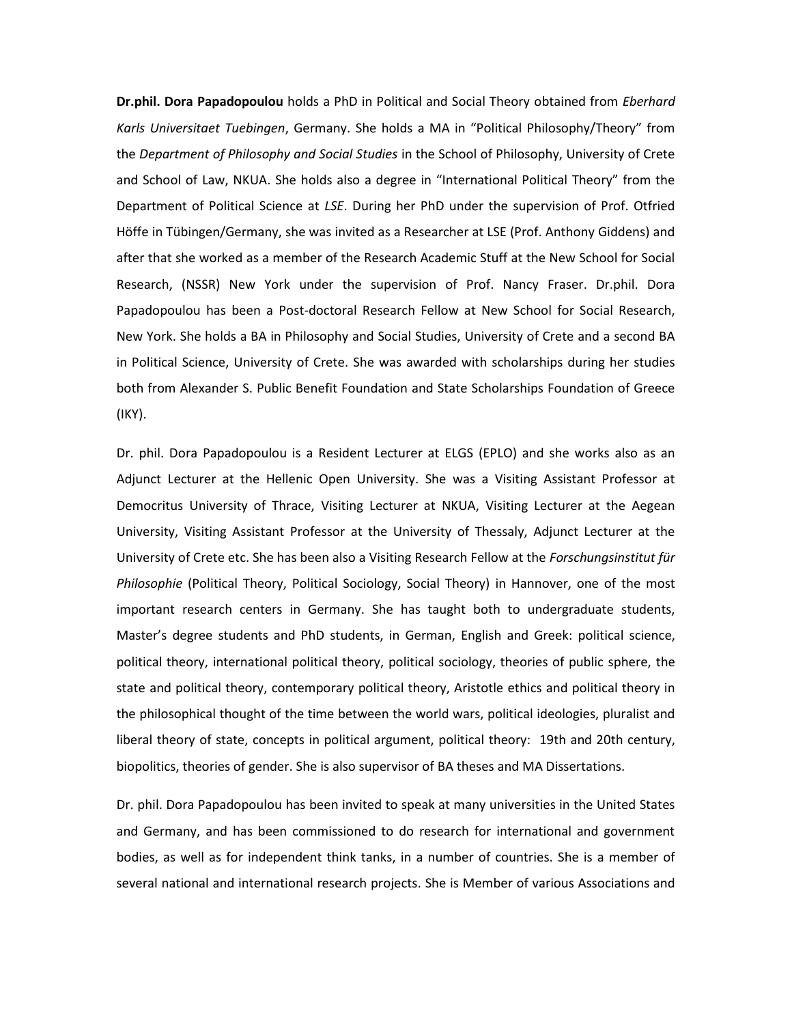**Dr.phil. Dora Papadopoulou** holds a PhD in Political and Social Theory obtained from *Eberhard Karls Universitaet Tuebingen*, Germany. She holds a MA in "Political Philosophy/Theory" from the *Department of Philosophy and Social Studies* in the School of Philosophy, University of Crete and School of Law, NKUA. She holds also a degree in "International Political Theory" from the Department of Political Science at *LSE*. During her PhD under the supervision of Prof. Otfried Höffe in Tübingen/Germany, she was invited as a Researcher at LSE (Prof. Anthony Giddens) and after that she worked as a member of the Research Academic Stuff at the New School for Social Research, (NSSR) New York under the supervision of Prof. Nancy Fraser. Dr.phil. Dora Papadopoulou has been a Post-doctoral Research Fellow at New School for Social Research, New York. She holds a BA in Philosophy and Social Studies, University of Crete and a second BA in Political Science, University of Crete. She was awarded with scholarships during her studies both from Alexander S. Public Benefit Foundation and State Scholarships Foundation of Greece (IKY).

Dr. phil. Dora Papadopoulou is a Resident Lecturer at ELGS (EPLO) and she works also as an Adjunct Lecturer at the Hellenic Open University. She was a Visiting Assistant Professor at Democritus University of Thrace, Visiting Lecturer at NKUA, Visiting Lecturer at the Aegean University, Visiting Assistant Professor at the University of Thessaly, Adjunct Lecturer at the University of Crete etc. She has been also a Visiting Research Fellow at the *Forschungsinstitut für Philosophie* (Political Theory, Political Sociology, Social Theory) in Hannover, one of the most important research centers in Germany. She has taught both to undergraduate students, Master's degree students and PhD students, in German, English and Greek: political science, political theory, international political theory, political sociology, theories of public sphere, the state and political theory, contemporary political theory, Aristotle ethics and political theory in the philosophical thought of the time between the world wars, political ideologies, pluralist and liberal theory of state, concepts in political argument, political theory: 19th and 20th century, biopolitics, theories of gender. She is also supervisor of BA theses and MA Dissertations.

Dr. phil. Dora Papadopoulou has been invited to speak at many universities in the United States and Germany, and has been commissioned to do research for international and government bodies, as well as for independent think tanks, in a number of countries. She is a member of several national and international research projects. She is Member of various Associations and